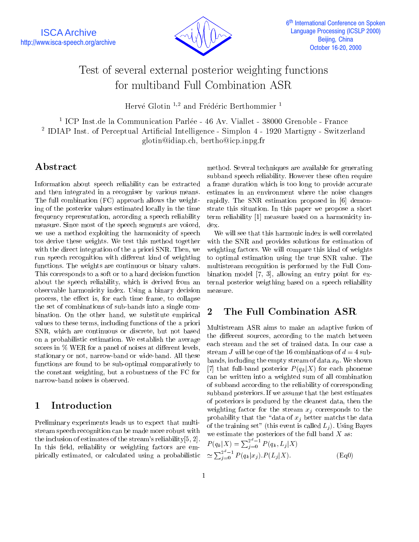

# Test of several external posterior weighting functions for multiband Full Combination ASR

Hervé Glotin <sup>1,2</sup> and Frédéric Berthommier <sup>1</sup>

1 ICP Inst.de la Communication Parlee - 46 Av. Viallet - 38000 Grenoble - France 2 IDIAP Inst. of Perceptual Articial Intelligence - Simplon 4 - 1920 Martigny - Switzerland glotin@idiap.ch, bertho@icp.inpg.fr

## Abstract

Information about speech reliability can be extracted and then integrated in a recogniser by various means. The full combination (FC) approach allows the weighting of the posterior values estimated locally in the time frequency representation, according a speech reliability measure. Since most of the speech segments are voiced, we use a method exploiting the harmonicity of speech tos derive these weights. We test this method together with the direct integration of the a priori SNR. Then, we run speech recognition with different kind of weighting functions. The weights are continuous or binary values. This corresponds to a soft or to a hard decision function about the speech reliability, which is derived from an observable harmonicity index. Using a binary decision process, the effect is, for each time frame, to collapse the set of combinations of sub-bands into a single combination. On the other hand, we substitute empirical values to these terms, including functions of the a priori SNR, which are continuous or discrete, but not based on a probabilistic estimation. We establish the average scores in  $\%$  WER for a panel of noises at different levels, stationary or not, narrow-band or wide-band. All these functions are found to be sub-optimal comparatively to the constant weighting, but a robustness of the FC for narrow-band noises is observed.

#### **Introduction**  $\mathbf 1$

Preliminary experiments leads us to expect that multistream speech recognition can be made more robust with the inclusion of estimates of the stream's reliability[5, 2]. In this field, reliability or weighting factors are empirically estimated, or calculated using a probabilistic

method. Several techniques are available for generating subband speech reliability. However these often require a frame duration which is too long to provide accurate estimates in an environment where the noise changes rapidly. The SNR estimation proposed in [6] demonstrate this situation. In this paper we propose a short term reliability [1] measure based on a harmonicity index.

We will see that this harmonic index is well correlated with the SNR and provides solutions for estimation of weighting factors. We will compare this kind of weights to optimal estimation using the true SNR value. The multistream recognition is performed by the Full Combination model [7, 3], allowing an entry point for external posterior weigthing based on a speech reliability measure.

## 2 The Full Combination ASR

Multistream ASR aims to make an adaptive fusion of the different sources, according to the match between each stream and the set of trained data. In our case a stream J will be one of the 16 combinations of  $d = 4$  subbands, including the empty stream of data  $x_0$ . We shown [7] that full-band posterior  $P(q_k|X)$  for each phoneme can be written into a weighted sum of all combination of subband according to the reliability of corresponding subband posteriors. If we assume that the best estimates of posteriors is produced by the cleanest data, then the weighting factor for the stream  $x_j$  corresponds to the probability that the "data of  $x_j$  better matchs the data of the training set" (this event is called  $L_i$ ). Using Bayes we estimate the posteriors of the full band  $X$  as:

$$
P(q_k|X) = \sum_{j=0}^{2^d - 1} P(q_k, L_j|X)
$$
  
\n
$$
\simeq \sum_{j=0}^{2^d - 1} P(q_k|x_j).P(L_j|X).
$$
 (Eq0)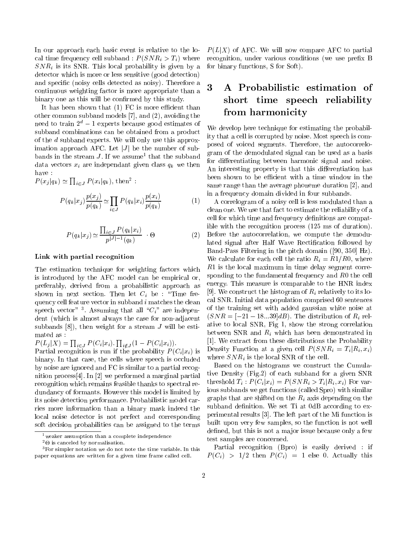In our approach each basic event is relative to the local time frequency cell subband :  $P(SNR_i > T_i)$  where  $SNR_i$  is its SNR. This local probability is given by a detector which is more or less sensitive (good detection) and specific (noisy cells detected as noisy). Therefore a<br>continuous weighting fector is more appropriate than a continuous weighting factor is more appropriate than a binary one as this will be confirmed by this study.

It has been shown that  $(1)$  FC is more efficient than other common subband models [7], and (2), avoiding the need to train  $2^d - 1$  experts because good estimates of subband combinations can be obtained from a product of the <sup>d</sup> subband experts. We will only use this approximation approach AFC. Let  $|J|$  be the number of subbands in the stream J. If we assume that the subband  $\zeta_{\rm max}$ data vectors  $x_i$  are independant given class  $q_k$  we then have :

 $P(x_j|q_k) \simeq \prod_{i \in J} P(x_i|q_k)$ , then<sup>2</sup>:

$$
P(q_k|x_j) \frac{p(x_j)}{p(q_k)} \simeq \prod_{i \in J} P(q_k|x_i) \frac{p(x_i)}{p(q_k)}
$$
(1)

$$
P(q_k|x_j) \simeq \frac{\prod_{i \in J} P(q_k|x_i)}{p^{|J|-1}(q_k)} \quad \Theta \tag{2}
$$

#### Link with partial recognition

The estimation technique for weighting factors which is introduced by the AFC model can be empirical or, preferably, derived from a probabilistic approach as shown in next section. Then let  $C_i$  be : "Time frequency cell feature vector in subband  $i$  matches the clean speech vector  $\cdot$  . Assuming that all  $\mathcal{C}_i$  are independent (which is almost always the case for non-adjacent subbands  $[8]$ , then weight for a stream J will be estimated as :

 $P(L_j|X) = \prod_{i \in J} P(C_i|x_i)$ .  $\prod_{i \notin J} (1 - P(C_i|x_i)).$ 

Partial recognition is run if the probability  $P(C_i | x_i)$  is binary. In that case, the cells where speech is occluded by noise are ignored and FC is similar to a partial recognition process[4]. In [2] we performed a marginal partial recognition which remains feasible thanks to spectral redundancy of formants. However this model is limited by its noise detection performance. Probabilistic model carries more information than a binary mask indeed the local noise detector is not perfect and corresponding soft decision probabilities can be assigned to the terms

 $P(L|X)$  of AFC. We will now compare AFC to partial recognition, under various conditions (we use prefix B for binary functions, S for Soft).

## 3 A Probabilistic estimation of short time speech reliability from harmonicity

We develop here technique for estimating the probability that a cell is corrupted by noise. Most speech is composed of voiced segments. Therefore, the autocorrelogram of the demodulated signal can be used as a basis for differentiating between harmonic signal and noise. An interesting property is that this differentiation has been shown to be efficient with a time window in the same range than the average phoneme duration [2], and in a frequency domain divided in four subbands.

 $\sqrt{1}$  and  $\frac{1}{2}$  correlation of a noisy cell is less modulated than a (2) clean one. We use that fact to estimate the reliability of a cell for which time and frequency definitions are compatible with the recognition process (125 ms of duration). Before the autocorrelation, we compute the demodulated signal after Half Wave Rectification followed by Band-Pass Filtering in the pitch domain ([90, 350] Hz). We calculate for each cell the ratio  $R_i = R1/R0$ , where R1 is the local maximum in time delay segment corresponding to the fundamental frequency and  $R0$  the cell energy. This measure is comparable to the HNR index [9]. We construct the histogram of  $R_i$  relatively to its local SNR. Initial data population comprised 60 sentences of the training set with added gaussian white noise at  $(SNR = [-21 - 18...39]dB)$ . The distribution of  $R_i$  relative to local SNR, Fig 1, show the strong correlation between SNR and  $R_i$  which has been demonstrated in [1]. We extract from these distributions the Probability Density Function at a given cell  $P(SNR_i = T_i | R_i, x_i)$ where  $SNR_i$  is the local SNR of the cell.

Based on the histograms we construct the Cumulative Density (Fig.2) of each subband for a given SNR threshold  $T_i$ :  $P(C_i | x_i) = P(SNR_i > T_i | R_i, x_i)$  For various subbands we get functions (called Spro) with similar graphs that are shifted on the  $R_i$  axis depending on the subband definition. We set Ti at 0dB according to experimental results [3]. The left part of the Mi function is built upon very few samples, so the function is not well defined, but this is not a major issue because only a few test samples are concerned.

Partial recognition (Bpro) is easily derived : if  $P = \sqrt{P}$  is the  $P = \sqrt{P}$  then  $P = \sqrt{P}$  is the  $P = 1$  else  $P = 1$  . Actually the  $P = 1$ 

<sup>1</sup>weaker assumption than a complete independence

<sup>2-</sup> is canceled by normalisation.

<sup>&</sup>lt;sup>3</sup>For simpler notation we do not note the time variable. In this paper equations are written for a given time frame called cell.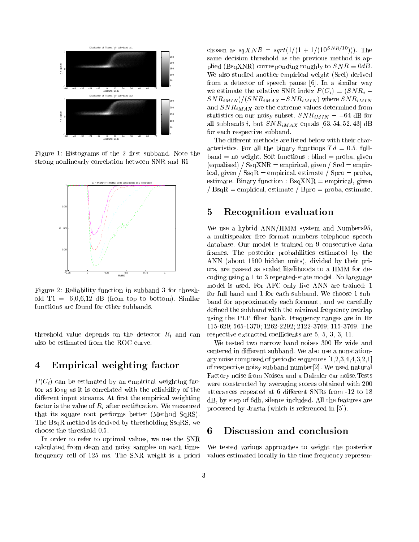

Figure 1: Histograms of the 2 first subband. Note the strong nonlinearly correlation between SNR and Ri



Figure 2: Reliability function in subband 3 for threshold  $T1 = -6,0,6,12$  dB (from top to bottom). Similar functions are found for other subbands.

threshold value depends on the detector  $R_i$  and can also be estimated from the ROC curve.

### 4 Empirical weighting factor

 $P(C_i)$  can be estimated by an empirical weighting factor as long as it is correlated with the reliability of the different input streams. At first the empirical weighting factor is the value of  $R_i$  after rectification. We measured that its square root performs better (Method SqRS). The BsqR method is derived by thresholding SsqRS, we choose the threshold 0:5.

In order to refer to optimal values, we use the SNR calculated from clean and noisy samples on each timefrequency cellof 125 ms. The SNR weight is a priori chosen as  $sqXNR = sqrt(1/(1 + 1/(10^{SNR/10})))$ . The same decision threshold as the previous method is applied (BsqXNR) corresponding roughly to  $SNR = 0dB$ .<br>We also studied another empirical weight (Srel) derived from a detector of speech pause [6]. In a similar way we estimate the relative SNR index  $P(C_i)=(SNR_i-\mathcal{O}(N_i))$  $SNR_{iMIN} / (SNR_{iMAX} - SNR_{iMIN})$  where  $SNR_{iMIN}$ and  $SNR_{iMAX}$  are the extreme values determined from statistics on our noisy subset.  $SNR_{iMIN} = -64$  dB for all subbands i, but  $SNR_{iMAX}$  equals [63, 54, 52, 43] dB for each respective subband.

The different methods are listed below with their characteristics. For all the binary functions  $Td = 0.5$ . full $band = no weight. Soft functions : blind = proba, given$ (equalised) /  $SsqXNR = empirical$ , given /  $Srel = empir$ ical, given /  $\text{SsqR} = \text{empirical}, \text{estimate}$  /  $\text{Spro} = \text{proba},$ estimate. Binary function :  $BsqXNR = empirical$ , given /  $BsqR =$  empirical, estimate / Bpro = proba, estimate.

## 5 Recognition evaluation

We use a hybrid ANN/HMM system and Numbers95, a multispeaker free format numbers telephone speech database. Our model is trained on 9 consecutive data frames. The posterior probabilities estimated by the ANN (about 1500 hidden units), divided by their priors, are passed as scaled likelihoods to a HMM for decoding using a 1 to 3 repeated-state model. No language model is used. For AFC only five ANN are trained: 1 for full band and 1 for each subband. We choose 1 subband for approximately each formant, and we carefully defined the subband with the minimal frequency overlap using the PLP filter bank. Frequency ranges are in Hz 115-629; 565-1370; 1262-2292; 2122-3769; 115-3769. The respective extracted coefficients are  $5, 5, 3, 3, 11$ .

We tested two narrow band noises 300 Hz wide and centered in different subband. We also use a nonstationary noise composed of periodic sequences [1,2,3,4,4,3,2,1] of respective noisy subband number[2]. We used natural Factory noise from Noisex and a Daimler car noise.Tests were constructed by averaging scores obtained with 200 utterances repeated at 6 different SNRs from -12 to 18 dB, by step of 6db, silence included. All the features are processed by Jrasta (which is referenced in [5]).

#### 6 Discussion and conclusion

We tested various approaches to weight the posterior values estimated locally in the time frequency represen-